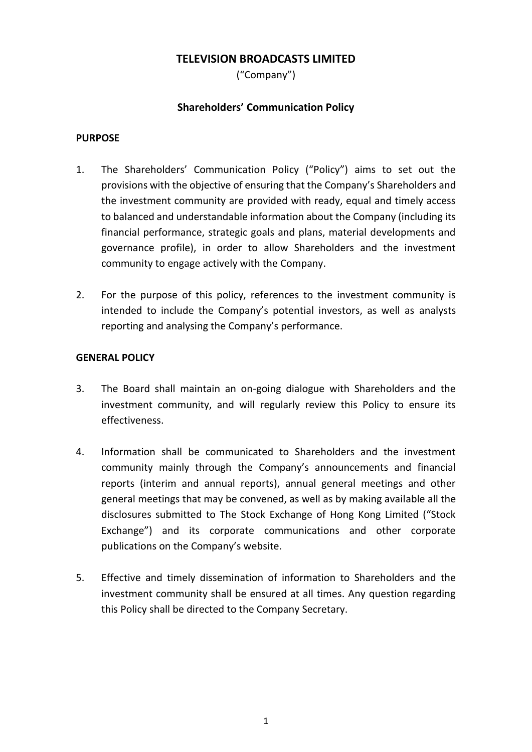# **TELEVISION BROADCASTS LIMITED**

("Company")

# **Shareholders' Communication Policy**

### **PURPOSE**

- 1. The Shareholders' Communication Policy ("Policy") aims to set out the provisions with the objective of ensuring that the Company's Shareholders and the investment community are provided with ready, equal and timely access to balanced and understandable information about the Company (including its financial performance, strategic goals and plans, material developments and governance profile), in order to allow Shareholders and the investment community to engage actively with the Company.
- 2. For the purpose of this policy, references to the investment community is intended to include the Company's potential investors, as well as analysts reporting and analysing the Company's performance.

# **GENERAL POLICY**

- 3. The Board shall maintain an on-going dialogue with Shareholders and the investment community, and will regularly review this Policy to ensure its effectiveness.
- 4. Information shall be communicated to Shareholders and the investment community mainly through the Company's announcements and financial reports (interim and annual reports), annual general meetings and other general meetings that may be convened, as well as by making available all the disclosures submitted to The Stock Exchange of Hong Kong Limited ("Stock Exchange") and its corporate communications and other corporate publications on the Company's website.
- 5. Effective and timely dissemination of information to Shareholders and the investment community shall be ensured at all times. Any question regarding this Policy shall be directed to the Company Secretary.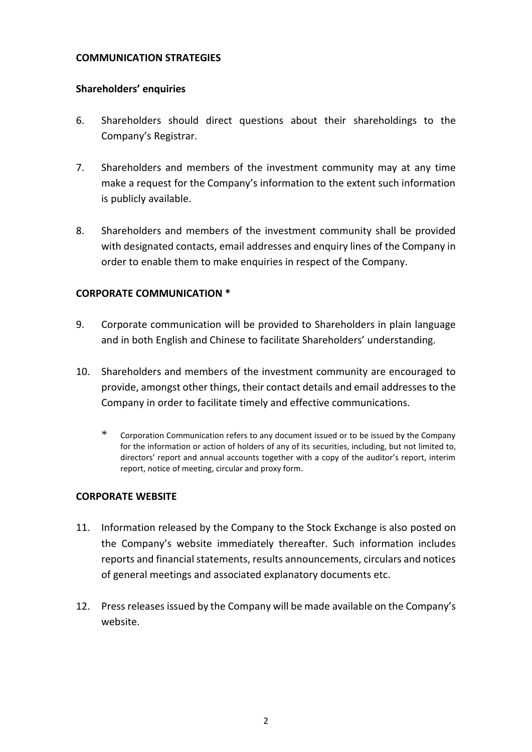#### **COMMUNICATION STRATEGIES**

#### **Shareholders' enquiries**

- 6. Shareholders should direct questions about their shareholdings to the Company's Registrar.
- 7. Shareholders and members of the investment community may at any time make a request for the Company's information to the extent such information is publicly available.
- 8. Shareholders and members of the investment community shall be provided with designated contacts, email addresses and enquiry lines of the Company in order to enable them to make enquiries in respect of the Company.

### **CORPORATE COMMUNICATION \***

- 9. Corporate communication will be provided to Shareholders in plain language and in both English and Chinese to facilitate Shareholders' understanding.
- 10. Shareholders and members of the investment community are encouraged to provide, amongst other things, their contact details and email addresses to the Company in order to facilitate timely and effective communications.
	- \* Corporation Communication refers to any document issued or to be issued by the Company for the information or action of holders of any of its securities, including, but not limited to, directors' report and annual accounts together with a copy of the auditor's report, interim report, notice of meeting, circular and proxy form.

### **CORPORATE WEBSITE**

- 11. Information released by the Company to the Stock Exchange is also posted on the Company's website immediately thereafter. Such information includes reports and financial statements, results announcements, circulars and notices of general meetings and associated explanatory documents etc.
- 12. Press releases issued by the Company will be made available on the Company's website.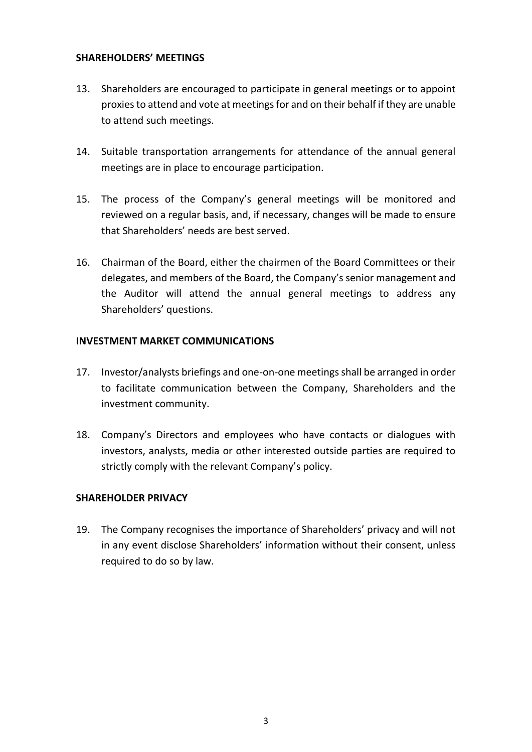#### **SHAREHOLDERS' MEETINGS**

- 13. Shareholders are encouraged to participate in general meetings or to appoint proxies to attend and vote at meetings for and on their behalf if they are unable to attend such meetings.
- 14. Suitable transportation arrangements for attendance of the annual general meetings are in place to encourage participation.
- 15. The process of the Company's general meetings will be monitored and reviewed on a regular basis, and, if necessary, changes will be made to ensure that Shareholders' needs are best served.
- 16. Chairman of the Board, either the chairmen of the Board Committees or their delegates, and members of the Board, the Company's senior management and the Auditor will attend the annual general meetings to address any Shareholders' questions.

### **INVESTMENT MARKET COMMUNICATIONS**

- 17. Investor/analysts briefings and one-on-one meetings shall be arranged in order to facilitate communication between the Company, Shareholders and the investment community.
- 18. Company's Directors and employees who have contacts or dialogues with investors, analysts, media or other interested outside parties are required to strictly comply with the relevant Company's policy.

### **SHAREHOLDER PRIVACY**

19. The Company recognises the importance of Shareholders' privacy and will not in any event disclose Shareholders' information without their consent, unless required to do so by law.